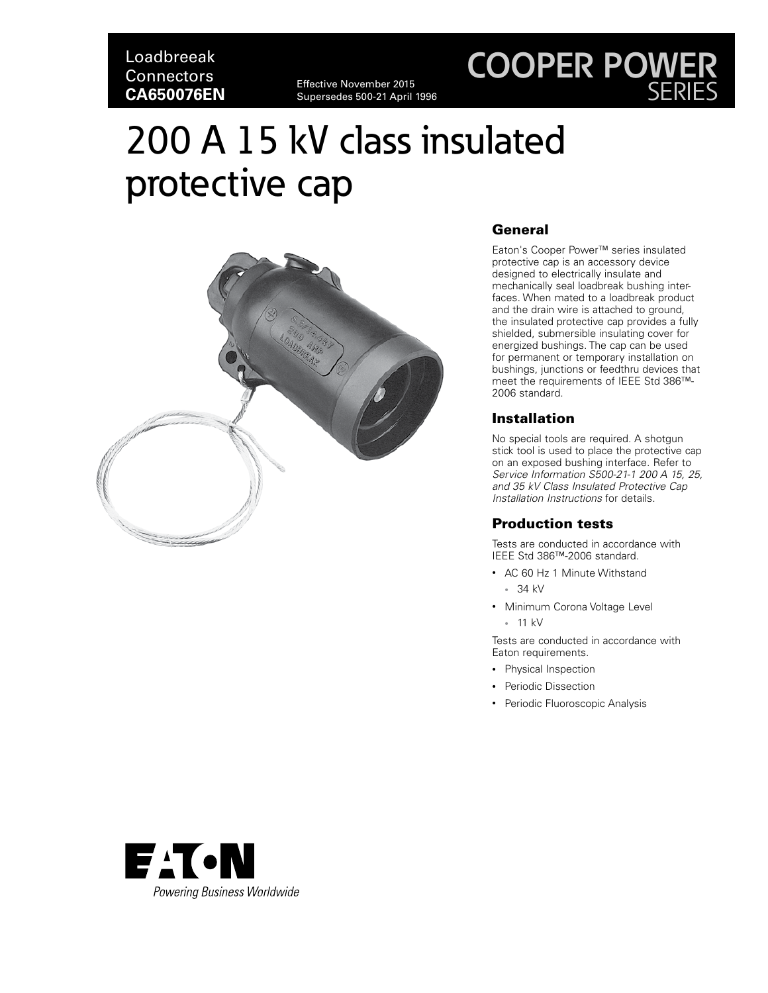Loadbreeak **Connectors CA650076EN**

Effective November 2015 Supersedes 500-21 April 1996

## **COOPER POWER** SERIES

# 200 A 15 kV class insulated protective cap



### General

Eaton's Cooper Power™ series insulated protective cap is an accessory device designed to electrically insulate and mechanically seal loadbreak bushing interfaces. When mated to a loadbreak product and the drain wire is attached to ground, the insulated protective cap provides a fully shielded, submersible insulating cover for energized bushings. The cap can be used for permanent or temporary installation on bushings, junctions or feedthru devices that meet the requirements of IEEE Std 386™- 2006 standard.

### **Installation**

No special tools are required. A shotgun stick tool is used to place the protective cap on an exposed bushing interface. Refer to *Service Information S500-21-1 200 A 15, 25, and 35 kV Class Insulated Protective Cap Installation Instructions* for details.

### Production tests

Tests are conducted in accordance with IEEE Std 386™-2006 standard.

- AC 60 Hz 1 Minute Withstand
	- 34 kV
- Minimum Corona Voltage Level
	- 11 kV

Tests are conducted in accordance with Eaton requirements.

- Physical Inspection
- Periodic Dissection
- Periodic Fluoroscopic Analysis